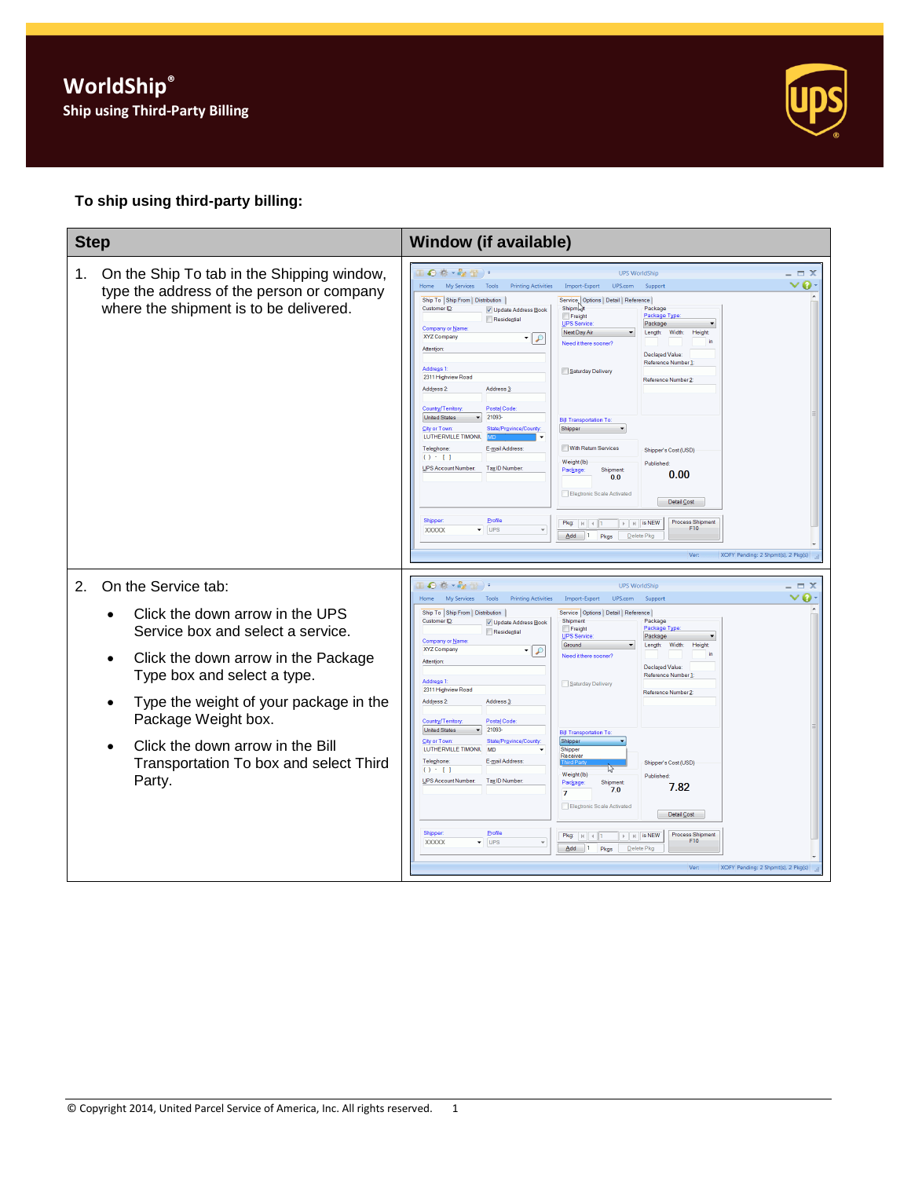

## **To ship using third-party billing:**

| <b>Step</b>                                                                                                                                                                                                                                                                                                                                                             | Window (if available)                                                                                                                                                                                                                                                                                                                                                                                                                                                                                                                                                                                                                                                                                                                                                                                                                                                                                                                                                                                                                                                                                                                                                                                                                                                                                                                                                          |
|-------------------------------------------------------------------------------------------------------------------------------------------------------------------------------------------------------------------------------------------------------------------------------------------------------------------------------------------------------------------------|--------------------------------------------------------------------------------------------------------------------------------------------------------------------------------------------------------------------------------------------------------------------------------------------------------------------------------------------------------------------------------------------------------------------------------------------------------------------------------------------------------------------------------------------------------------------------------------------------------------------------------------------------------------------------------------------------------------------------------------------------------------------------------------------------------------------------------------------------------------------------------------------------------------------------------------------------------------------------------------------------------------------------------------------------------------------------------------------------------------------------------------------------------------------------------------------------------------------------------------------------------------------------------------------------------------------------------------------------------------------------------|
| 1.<br>On the Ship To tab in the Shipping window,<br>type the address of the person or company<br>where the shipment is to be delivered.                                                                                                                                                                                                                                 | ● 春~春間 <br><b>UPS WorldShip</b><br>$ \Box$ $X$<br>$\bullet$<br>Home<br>My Services<br>v<br>Tools<br><b>Printing Activities</b><br>Import-Export UPS.com<br>Support<br>Ship To Ship From   Distribution<br>Service   Options   Detail   Reference  <br>Customer ID:<br>Shipmar<br>Package<br>V Update Address Book<br>Freight<br>Package Type<br>Residential<br>UPS Service<br>Package<br>Company or Name<br>Next Day Air<br>Length:<br>Width:<br>Height<br>XYZ Company<br>ه ا≁<br>Need it there sooner?<br>Attention<br><b>Declared Value</b><br>Reference Number 1<br>Address 1:<br>Saturday Delivery<br>2311 Highview Road<br>Reference Number 2<br>Address 2:<br>Address <sub>3</sub><br>Country/Territory:<br>Postal Code<br><b>United States</b><br>21093<br><b>Bill Transportation To:</b><br><b>City or Town</b><br>State/Province/County<br>Shipper<br>LUTHERVILLE TIMONIL<br>With Return Services<br>Telephone:<br>E-mail Address<br>Shipper's Cost (USD)<br>$() - []$<br>Weight (lb)<br>Published<br>UPS Account Number:<br>Tax ID Number:<br>Shipment<br>Package<br>0.00<br>0.0<br>Electronic Scale Activated<br>Detail Cost<br>Profile<br>Shipper<br><b>Process Shipment</b><br>Pkg: $ k $ 4 1<br>$\triangleright$   $\parallel$   is NEW<br>F10<br>UPS<br><b>XXXXX</b><br>▾<br>$Add$ 1<br>Pkgs<br>Delete Pko<br>XOFY Pending: 2 Shpmt(s), 2 Pkg(s)<br>Ver:        |
| On the Service tab:<br>2.<br>Click the down arrow in the UPS<br>$\bullet$<br>Service box and select a service.<br>Click the down arrow in the Package<br>$\bullet$<br>Type box and select a type.<br>Type the weight of your package in the<br>Package Weight box.<br>Click the down arrow in the Bill<br>$\bullet$<br>Transportation To box and select Third<br>Party. | ●春、春雨)。<br><b>UPS WorldShip</b><br>$\Box$ $\times$<br>◒<br>My Services<br>Tools<br><b>Printing Activities</b><br>Import-Export<br>UPS.com<br>Support<br>Ship To Ship From   Distribution<br>Service   Options   Detail   Reference  <br>Customer ID:<br>Shipme<br>Package<br>V Update Address Book<br>Package Type<br>Freight<br>Residential<br>UPS Service<br>Package<br><b>Company or Name</b><br>Ground<br>Width:<br>Length:<br>Height<br>XYZ Company<br>ه ا≁<br>Need it there sooner?<br>Attention<br>Declared Value:<br>Reference Number 1:<br>Address 1:<br>Saturday Delivery<br>2311 Highview Road<br>Reference Number 2<br>Address 2:<br>Address <sub>3</sub><br>Country/Territory:<br>Postal Code<br><b>United States</b><br>21093<br><b>Bill Transportation To:</b><br>City or Town:<br>Shipper<br>State/Province/County<br>LUTHERVILLE TIMONIL<br><b>MD</b><br>Shipper<br>Receiver<br>Telephone<br>E-mail Address:<br>Shipper's Cost (USD)<br>$() - []$<br>Weight (lb)<br>Published:<br>UPS Account Number:<br>Tax ID Number:<br>Package<br>Shipment<br>7.82<br>7.0<br>7<br>Elegtronic Scale Activated<br>Detail Cost<br>Shipper<br>Profile<br>Process Shipment<br>$\mathbb{F}$ $\mathbb{H}$ is NEW<br>$P$ kg: $  $ $  $ $  $ $  $<br>F10<br><b>XXXXX</b><br>$\overline{\phantom{a}}$ UPS<br>Add 1 Pkgs<br>Delete Pkg<br>XOFY Pending: 2 Shpmt(s), 2 Pkg(s)<br>Ver: |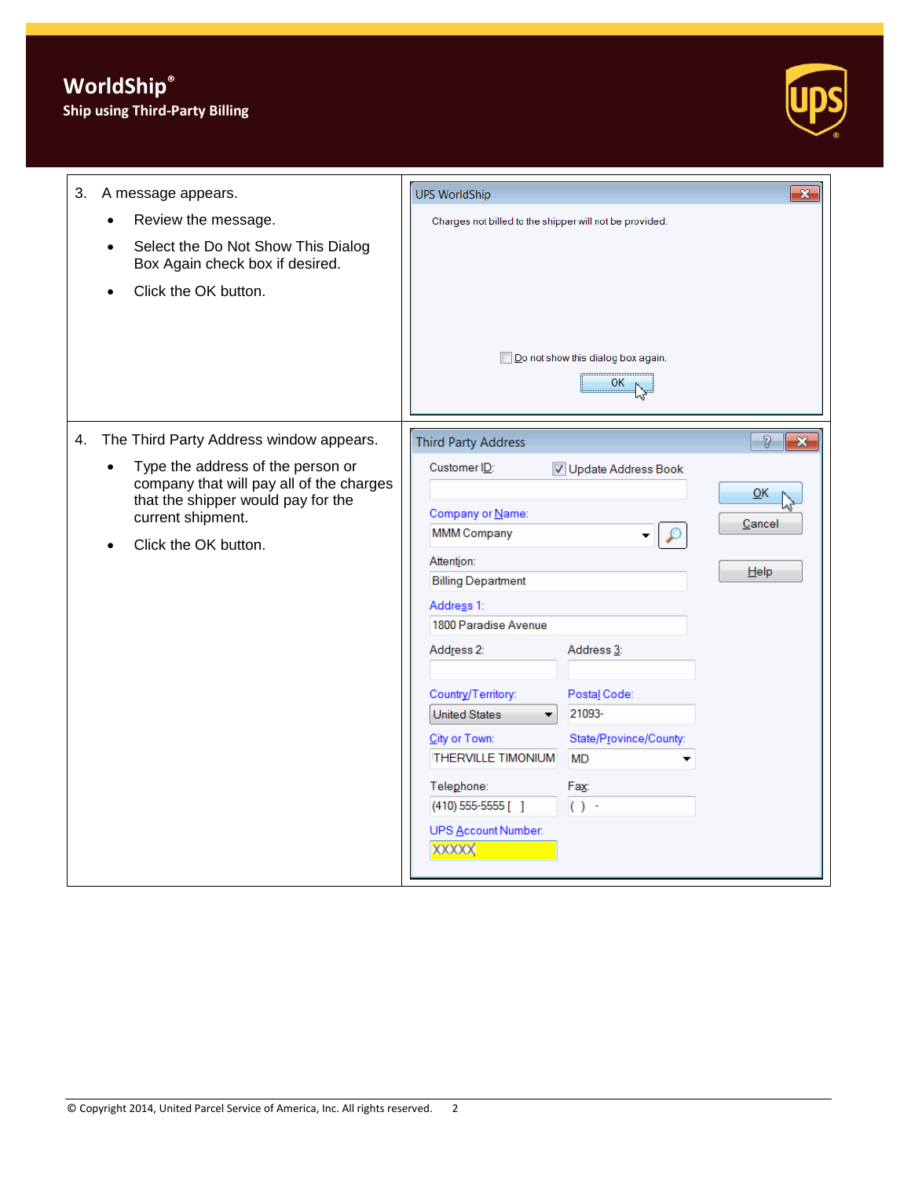## **Ship using Third-Party Billing**



| 3. | A message appears.                                                                                                                                                            | <b>UPS WorldShip</b><br>$\mathbf{x}$                                                                                                                                                                                                                                                                                                                                                                                                                                                               |
|----|-------------------------------------------------------------------------------------------------------------------------------------------------------------------------------|----------------------------------------------------------------------------------------------------------------------------------------------------------------------------------------------------------------------------------------------------------------------------------------------------------------------------------------------------------------------------------------------------------------------------------------------------------------------------------------------------|
|    | Review the message.<br>$\bullet$                                                                                                                                              | Charges not billed to the shipper will not be provided.                                                                                                                                                                                                                                                                                                                                                                                                                                            |
|    | Select the Do Not Show This Dialog<br>Box Again check box if desired.<br>Click the OK button.                                                                                 | Do not show this dialog box again.                                                                                                                                                                                                                                                                                                                                                                                                                                                                 |
|    |                                                                                                                                                                               | 0K                                                                                                                                                                                                                                                                                                                                                                                                                                                                                                 |
| 4. | The Third Party Address window appears.                                                                                                                                       | $\delta$<br>$\mathbf{x}$<br><b>Third Party Address</b>                                                                                                                                                                                                                                                                                                                                                                                                                                             |
|    | Type the address of the person or<br>$\bullet$<br>company that will pay all of the charges<br>that the shipper would pay for the<br>current shipment.<br>Click the OK button. | Customer ID:<br>V Update Address Book<br>QK<br>Company or Name:<br>Cancel<br><b>MMM Company</b><br>Attention:<br>Help<br><b>Billing Department</b><br>Address 1:<br>1800 Paradise Avenue<br>Address 2:<br>Address <sub>3</sub> :<br>Country/Territory:<br>Postal Code:<br>21093-<br><b>United States</b><br>▼<br>City or Town:<br>State/Province/County:<br><b>THERVILLE TIMONIUM</b><br><b>MD</b><br>Telephone:<br>Fax:<br>$(410)$ 555-5555 [ ]<br>$() -$<br>UPS Account Number:<br><b>XXXXXX</b> |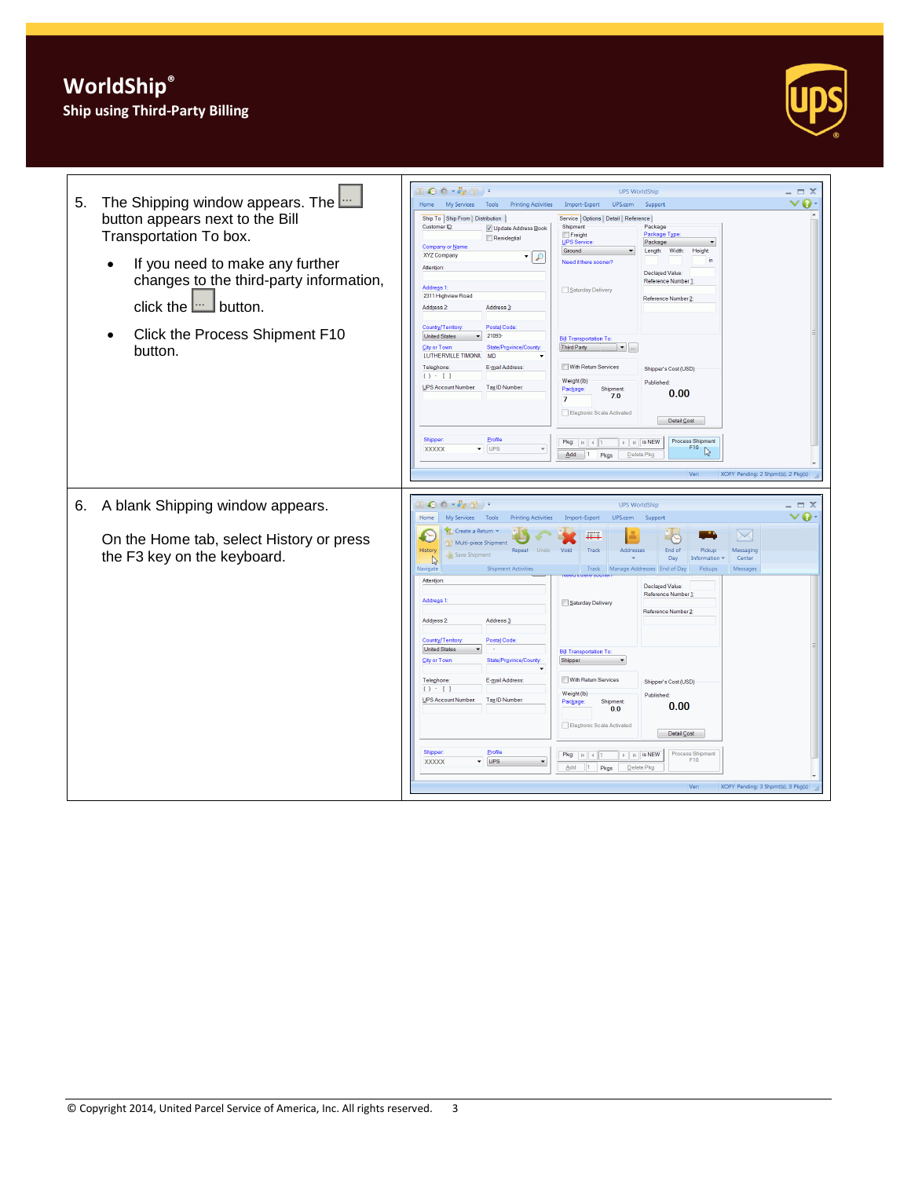## **WorldShip® Ship using Third-Party Billing**

| 5. | The Shipping window appears. The <b>Langle</b><br>button appears next to the Bill<br>Transportation To box.<br>If you need to make any further<br>$\bullet$<br>changes to the third-party information,<br>click the $\Box$ button.<br>Click the Process Shipment F10<br>$\bullet$<br>button. | Ⅲ◎※・☆☆)・<br><b>UPS WorldShip</b><br>$\Box$ $\times$<br>$\bm{\triangledown}$ 0<br>My Services Tools<br>Home<br><b>Printing Activities</b><br>Import-Export<br>UPS.com<br>Support<br>Ship To Ship From Distribution<br>Service   Options   Detail   Reference  <br>Customer ID:<br>Package<br>Shipment<br>V Update Address Book<br>Package Type<br>Freight<br>Residential<br><b>UPS Service</b><br>Package<br>Company or Name<br>Ground<br>Width:<br>Length:<br>Height<br>XYZ Company<br>0 ا -<br>Need it there sooner?<br>Attention<br>Declared Value:<br>Reference Number 1<br>Address 1:<br>Saturday Delivery<br>2311 Highview Road<br>Reference Number 2<br>Address 2:<br>Address <sub>3</sub> :<br>Postal Code:<br>Country/Territory:<br>21093-<br><b>United States</b><br><b>Bill Transportation To:</b><br>City or Town:<br>State/Province/County<br><b>Third Party</b><br>$\overline{\phantom{a}}$<br>LUTHERVILLE TIMONIL<br><b>MD</b><br>With Return Services<br>E-mail Address:<br>Telephone:<br>Shipper's Cost (USD)<br>$() - 1$<br>Weight (lb)<br>Published:<br>UPS Account Number:<br>Tax ID Number<br>Package<br>Shipment<br>0.00<br>7.0<br>$\overline{7}$<br>Electronic Scale Activated<br>Detail Cost<br>Profile<br>Shipper<br>Process Shipment<br>$\triangleright$ $\overline{\mid}$ $\overline{\mid}$ $\overline{\mid}$ is NEW<br>Pkg: $k$ $4$ $1$<br>F <sub>10</sub><br>$\blacktriangleright$ UPS<br><b>XXXXX</b><br>D<br>$Add$ 1<br>Pkgs<br>Delete Pkg<br>XOFY Pending: 2 Shpmt(s), 2 Pkg(s)<br>Ver |
|----|----------------------------------------------------------------------------------------------------------------------------------------------------------------------------------------------------------------------------------------------------------------------------------------------|-----------------------------------------------------------------------------------------------------------------------------------------------------------------------------------------------------------------------------------------------------------------------------------------------------------------------------------------------------------------------------------------------------------------------------------------------------------------------------------------------------------------------------------------------------------------------------------------------------------------------------------------------------------------------------------------------------------------------------------------------------------------------------------------------------------------------------------------------------------------------------------------------------------------------------------------------------------------------------------------------------------------------------------------------------------------------------------------------------------------------------------------------------------------------------------------------------------------------------------------------------------------------------------------------------------------------------------------------------------------------------------------------------------------------------------------------------------------------------------------------------------------------|
| 6. | A blank Shipping window appears.<br>On the Home tab, select History or press<br>the F3 key on the keyboard.                                                                                                                                                                                  | 40 卷 * 42 册 ) *<br><b>UPS WorldShip</b><br>$\Box$ $X$<br>$\vee$ 0<br>My Services Tools<br>Home<br><b>Printing Activities</b><br>Import-Export<br>UPS.com<br>Support<br>Create a Return<br>$\searrow$<br><b>THEFT</b><br>Multi-piece Shipment<br>History<br>Repeat<br><b>Undo</b><br>Void<br>Track<br>Addresses<br>End of<br>Pickup<br>Messaging<br>Save Shipment<br>Day<br>Information<br>Center<br>Navigate<br><b>Shipment Activities</b><br>Track Manage Addresses End of Day<br>Messages<br>Pickups<br>Attention<br>Declared Value:<br>Reference Number 1<br>Address <sub>1</sub><br>Saturday Delivery<br>Reference Number 2<br>Address 2:<br>Address <sub>3</sub> :<br>Country/Territory:<br>Postal Code:<br><b>United States</b><br><b>Bill Transportation To.</b><br>City or Town<br>State/Province/County<br>Shipper<br>$\blacktriangledown$<br>With Return Services<br>Telephone:<br>E-mail Address<br>Shipper's Cost (USD)<br>$() - 1$<br>Weight (lb)<br>Published<br>UPS Account Number:<br>Tax ID Number<br>Package<br>Shipment<br>0.00<br>0.0<br>Electronic Scale Activated<br>Detail Cost<br>Profile<br>Shipper<br><b>Process Shipment</b><br>$\mathbb{F}$   $\mathbb{H}$   is NEW<br>Pkg: $  v   +   1$<br>F10<br>$\overline{\phantom{a}}$ UPS<br><b>XXXXX</b><br>Add<br>Delete Pkg<br>$\vert 1 \vert$<br>Pkgs<br>Ver:<br>XOFY Pending: 3 Shpmt(s), 3 Pkg(s)                                                                                                                                            |